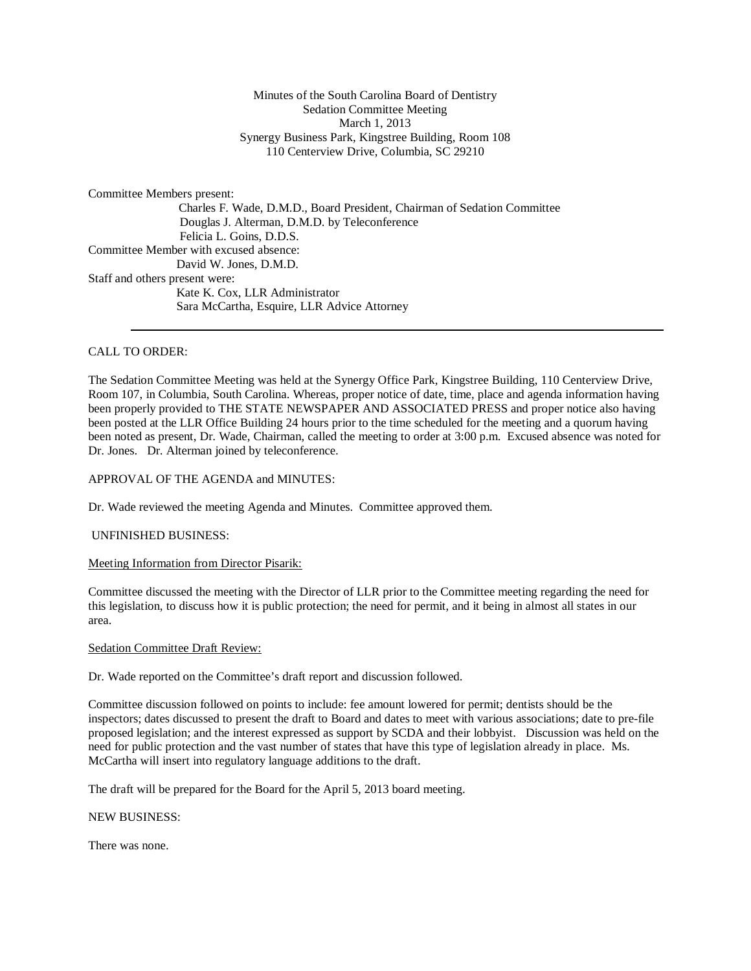# Minutes of the South Carolina Board of Dentistry Sedation Committee Meeting March 1, 2013 Synergy Business Park, Kingstree Building, Room 108 110 Centerview Drive, Columbia, SC 29210

Committee Members present:

 Charles F. Wade, D.M.D., Board President, Chairman of Sedation Committee Douglas J. Alterman, D.M.D. by Teleconference Felicia L. Goins, D.D.S. Committee Member with excused absence: David W. Jones, D.M.D. Staff and others present were: Kate K. Cox, LLR Administrator Sara McCartha, Esquire, LLR Advice Attorney

# CALL TO ORDER:

The Sedation Committee Meeting was held at the Synergy Office Park, Kingstree Building, 110 Centerview Drive, Room 107, in Columbia, South Carolina. Whereas, proper notice of date, time, place and agenda information having been properly provided to THE STATE NEWSPAPER AND ASSOCIATED PRESS and proper notice also having been posted at the LLR Office Building 24 hours prior to the time scheduled for the meeting and a quorum having been noted as present, Dr. Wade, Chairman, called the meeting to order at 3:00 p.m. Excused absence was noted for Dr. Jones. Dr. Alterman joined by teleconference.

### APPROVAL OF THE AGENDA and MINUTES:

Dr. Wade reviewed the meeting Agenda and Minutes. Committee approved them.

### UNFINISHED BUSINESS:

Meeting Information from Director Pisarik:

Committee discussed the meeting with the Director of LLR prior to the Committee meeting regarding the need for this legislation, to discuss how it is public protection; the need for permit, and it being in almost all states in our area.

### Sedation Committee Draft Review:

Dr. Wade reported on the Committee's draft report and discussion followed.

Committee discussion followed on points to include: fee amount lowered for permit; dentists should be the inspectors; dates discussed to present the draft to Board and dates to meet with various associations; date to pre-file proposed legislation; and the interest expressed as support by SCDA and their lobbyist. Discussion was held on the need for public protection and the vast number of states that have this type of legislation already in place. Ms. McCartha will insert into regulatory language additions to the draft.

The draft will be prepared for the Board for the April 5, 2013 board meeting.

NEW BUSINESS:

There was none.